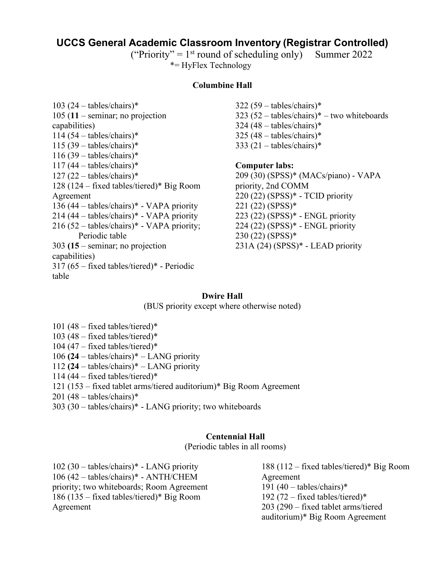# **UCCS General Academic Classroom Inventory (Registrar Controlled)**

("Priority" =  $1<sup>st</sup>$  round of scheduling only) Summer 2022 \*= HyFlex Technology

#### **Columbine Hall**

 $103 (24 - tables/chains)*$ 105 (**11** – seminar; no projection capabilities)  $114 (54 - tables/chains)*$  $115 (39 - tables/chains)*$  $116 (39 - tables/chains)*$  $117 (44 - tables/chains)*$  $127 (22 - tables/chains)*$ 128 (124 – fixed tables/tiered)\* Big Room Agreement 136 (44 – tables/chairs)\* - VAPA priority 214 (44 – tables/chairs)\* - VAPA priority 216 (52 – tables/chairs)\* - VAPA priority; Periodic table 303 **(15** – seminar; no projection capabilities) 317 (65 – fixed tables/tiered)\* - Periodic table

 $322 (59 - tables/chains)*$  $323 (52 - tables/chains)* - two whiteboards$  $324 (48 - tables/chains)*$  $325 (48 - tables/chains)*$  $333(21 - tables/chains)*$ 

**Computer labs:** 

209 (30) (SPSS)\* (MACs/piano) - VAPA priority, 2nd COMM 220 (22) (SPSS)\* - TCID priority 221 (22) (SPSS)\* 223 (22) (SPSS)\* - ENGL priority 224 (22) (SPSS)\* - ENGL priority 230 (22) (SPSS)\* 231A (24) (SPSS)\* - LEAD priority

# **Dwire Hall**

(BUS priority except where otherwise noted)

101 (48 – fixed tables/tiered)\* 103 (48 – fixed tables/tiered)\* 104 (47 – fixed tables/tiered)\* 106 **(24** – tables/chairs)\* – LANG priority 112 **(24** – tables/chairs)\* – LANG priority 114 (44 – fixed tables/tiered)\* 121 (153 – fixed tablet arms/tiered auditorium)\* Big Room Agreement  $201 (48 - tables/chains)*$ 

303 (30 – tables/chairs)\* - LANG priority; two whiteboards

# **Centennial Hall**

(Periodic tables in all rooms)

102 (30 – tables/chairs)\* - LANG priority 106 (42 – tables/chairs)\* - ANTH/CHEM priority; two whiteboards; Room Agreement 186 (135 – fixed tables/tiered)\* Big Room Agreement 188 (112 – fixed tables/tiered)\* Big Room Agreement 191 (40 – tables/chairs)\* 192 (72 – fixed tables/tiered)\* 203 (290 – fixed tablet arms/tiered auditorium)\* Big Room Agreement